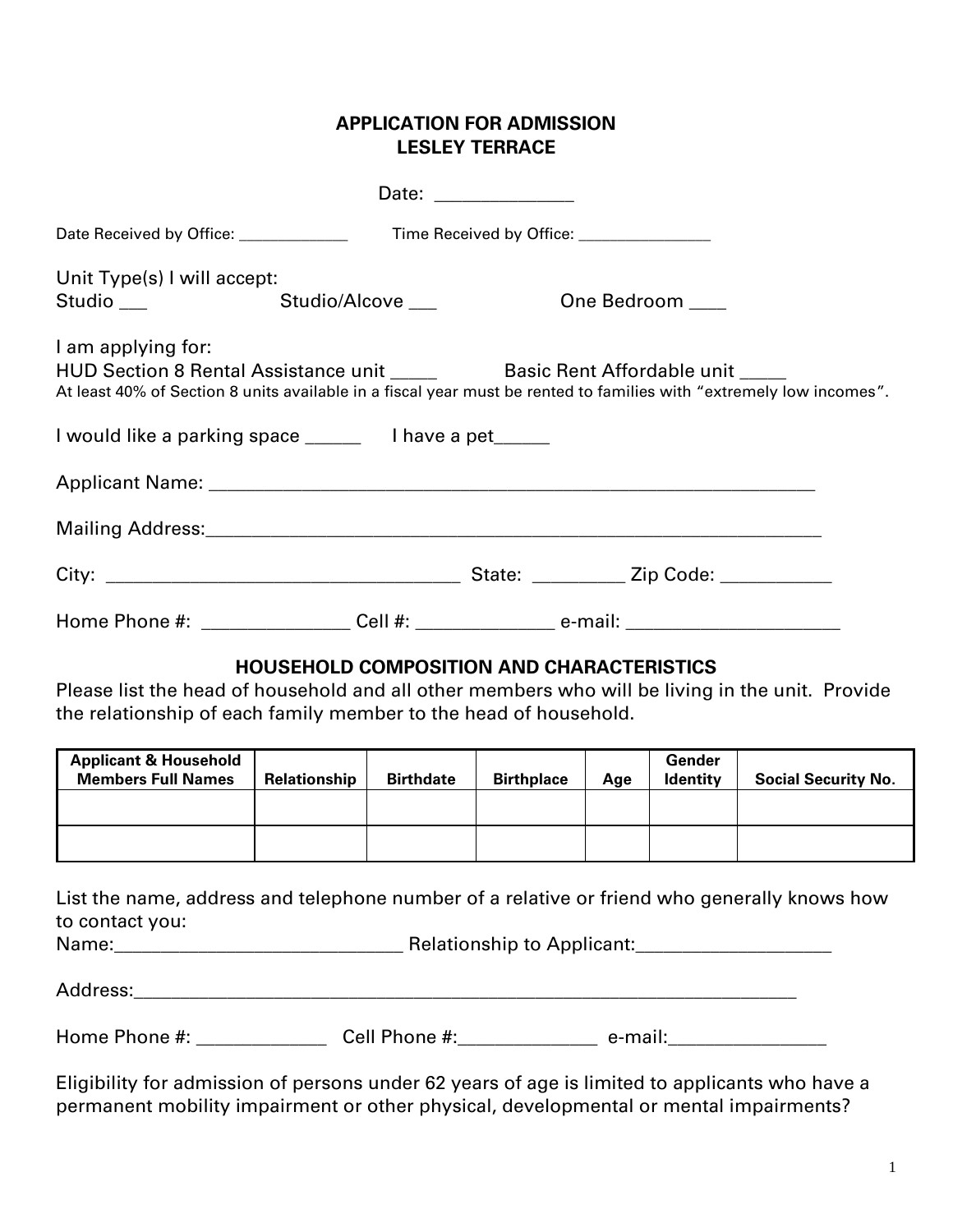## **APPLICATION FOR ADMISSION LESLEY TERRACE**

| Date Received by Office: _____________                                                                                                                              |                                                  |                  | Time Received by Office: ________________ |         |                           |                            |
|---------------------------------------------------------------------------------------------------------------------------------------------------------------------|--------------------------------------------------|------------------|-------------------------------------------|---------|---------------------------|----------------------------|
| Unit Type(s) I will accept:<br>Studio $\_\_$                                                                                                                        | Studio/Alcove                                    |                  |                                           |         | One Bedroom ____          |                            |
| I am applying for:<br>At least 40% of Section 8 units available in a fiscal year must be rented to families with "extremely low incomes".                           |                                                  |                  |                                           |         |                           |                            |
| I would like a parking space ________ I have a pet______                                                                                                            |                                                  |                  |                                           |         |                           |                            |
|                                                                                                                                                                     |                                                  |                  |                                           |         |                           |                            |
|                                                                                                                                                                     |                                                  |                  |                                           |         |                           |                            |
|                                                                                                                                                                     |                                                  |                  |                                           |         |                           |                            |
| Home Phone #: _________________Cell #: ____________________ e-mail: ________________________________                                                                |                                                  |                  |                                           |         |                           |                            |
| Please list the head of household and all other members who will be living in the unit. Provide<br>the relationship of each family member to the head of household. | <b>HOUSEHOLD COMPOSITION AND CHARACTERISTICS</b> |                  |                                           |         |                           |                            |
| <b>Applicant &amp; Household</b><br><b>Members Full Names</b>                                                                                                       | Relationship                                     | <b>Birthdate</b> | <b>Birthplace</b>                         | Age     | Gender<br><b>Identity</b> | <b>Social Security No.</b> |
|                                                                                                                                                                     |                                                  |                  |                                           |         |                           |                            |
|                                                                                                                                                                     |                                                  |                  |                                           |         |                           |                            |
| List the name, address and telephone number of a relative or friend who generally knows how<br>to contact you:                                                      |                                                  |                  |                                           |         |                           |                            |
|                                                                                                                                                                     |                                                  |                  |                                           |         |                           |                            |
| Home Phone #:                                                                                                                                                       |                                                  | Cell Phone #:    |                                           | e-mail: |                           |                            |

Eligibility for admission of persons under 62 years of age is limited to applicants who have a permanent mobility impairment or other physical, developmental or mental impairments?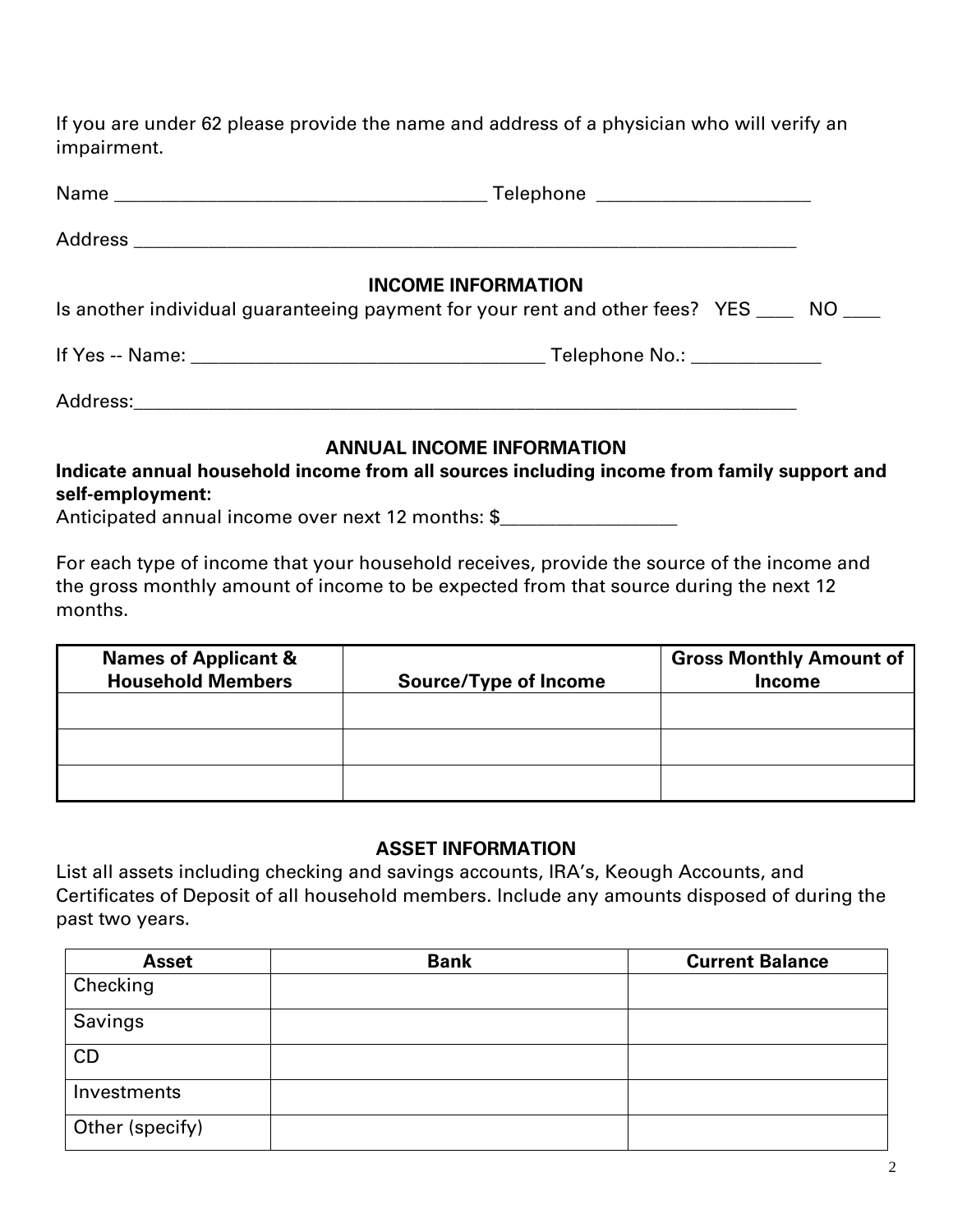If you are under 62 please provide the name and address of a physician who will verify an impairment.

| <b>INCOME INFORMATION</b><br>Is another individual guaranteeing payment for your rent and other fees? YES ____ NO ___ |  |
|-----------------------------------------------------------------------------------------------------------------------|--|
|                                                                                                                       |  |
|                                                                                                                       |  |
| <b>ANNUAL INCOME INFORMATION</b>                                                                                      |  |

**Indicate annual household income from all sources including income from family support and self-employment:**

Anticipated annual income over next 12 months: \$

For each type of income that your household receives, provide the source of the income and the gross monthly amount of income to be expected from that source during the next 12 months.

| <b>Names of Applicant &amp;</b><br><b>Household Members</b> | <b>Source/Type of Income</b> | <b>Gross Monthly Amount of</b><br><b>Income</b> |
|-------------------------------------------------------------|------------------------------|-------------------------------------------------|
|                                                             |                              |                                                 |
|                                                             |                              |                                                 |
|                                                             |                              |                                                 |

## **ASSET INFORMATION**

List all assets including checking and savings accounts, IRA's, Keough Accounts, and Certificates of Deposit of all household members. Include any amounts disposed of during the past two years.

| <b>Asset</b>    | <b>Bank</b> | <b>Current Balance</b> |
|-----------------|-------------|------------------------|
| Checking        |             |                        |
| Savings         |             |                        |
| CD              |             |                        |
| Investments     |             |                        |
| Other (specify) |             |                        |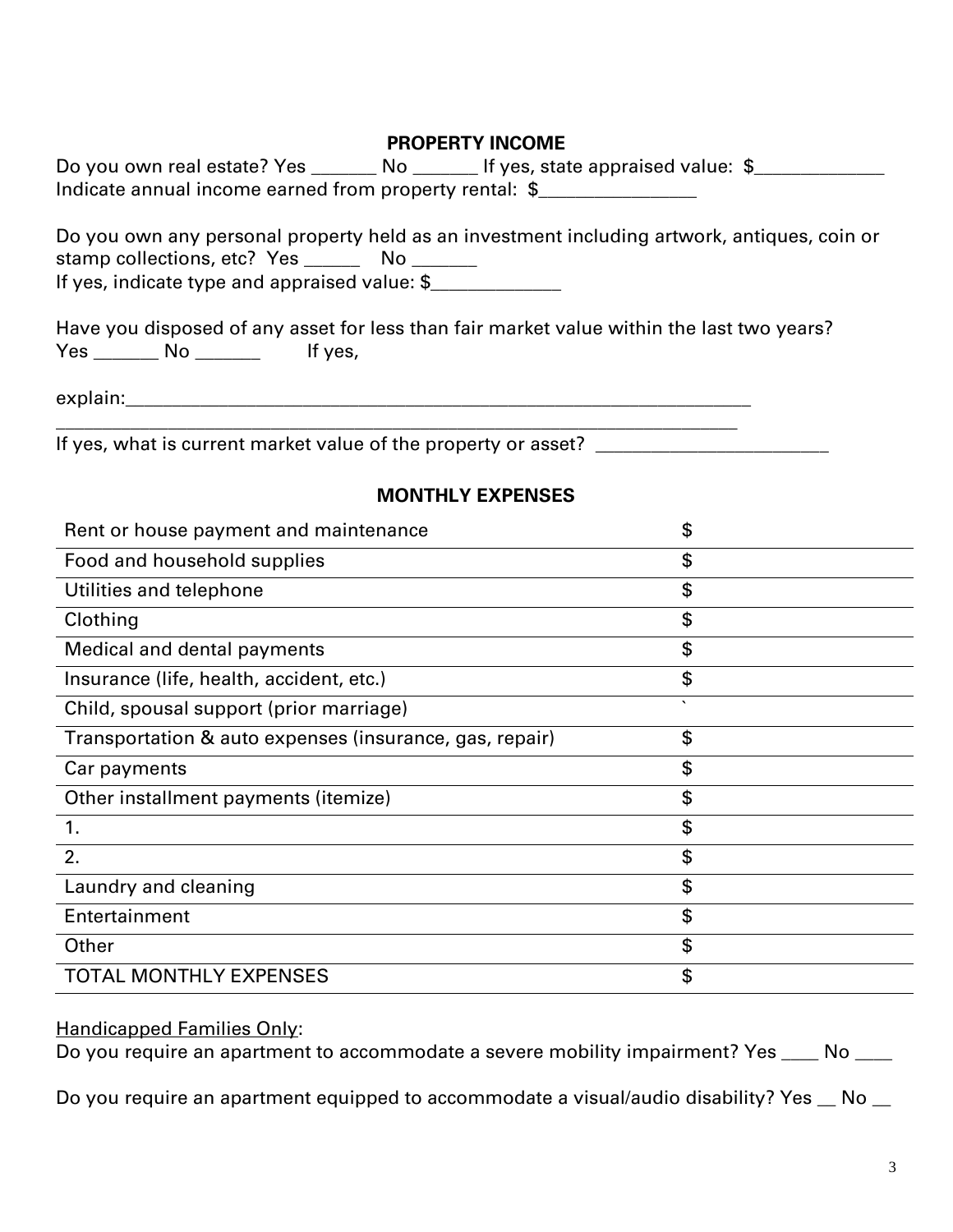## **PROPERTY INCOME**

| Do you own real estate? Yes                            | If yes, state appraised value: $\frac{1}{2}$ |  |
|--------------------------------------------------------|----------------------------------------------|--|
| Indicate annual income earned from property rental: \$ |                                              |  |

Do you own any personal property held as an investment including artwork, antiques, coin or stamp collections, etc? Yes \_\_\_\_\_\_\_ No \_\_\_\_\_\_\_ If yes, indicate type and appraised value: \$\_\_\_\_\_\_\_\_\_\_\_\_\_\_

Have you disposed of any asset for less than fair market value within the last two years? Yes \_\_\_\_\_\_\_\_ No \_\_\_\_\_\_\_\_\_ If yes,

explain:\_\_\_\_\_\_\_\_\_\_\_\_\_\_\_\_\_\_\_\_\_\_\_\_\_\_\_\_\_\_\_\_\_\_\_\_\_\_\_\_\_\_\_\_\_\_\_\_\_\_\_\_\_\_\_\_\_\_\_\_\_\_\_\_\_\_\_

\_\_\_\_\_\_\_\_\_\_\_\_\_\_\_\_\_\_\_\_\_\_\_\_\_\_\_\_\_\_\_\_\_\_\_\_\_\_\_\_\_\_\_\_\_\_\_\_\_\_\_\_\_\_\_\_\_\_\_\_\_\_\_\_\_\_\_\_\_\_\_\_\_ If yes, what is current market value of the property or asset? \_\_\_\_\_\_\_\_\_\_\_\_\_\_\_\_\_\_

### **MONTHLY EXPENSES**

| Rent or house payment and maintenance                   | \$      |
|---------------------------------------------------------|---------|
| Food and household supplies                             | \$      |
| Utilities and telephone                                 | \$      |
| Clothing                                                | \$      |
| Medical and dental payments                             | \$      |
| Insurance (life, health, accident, etc.)                | \$      |
| Child, spousal support (prior marriage)                 | $\cdot$ |
| Transportation & auto expenses (insurance, gas, repair) | \$      |
| Car payments                                            | \$      |
| Other installment payments (itemize)                    | \$      |
| 1.                                                      | \$      |
| 2.                                                      | \$      |
| Laundry and cleaning                                    | \$      |
| Entertainment                                           | \$      |
| Other                                                   | \$      |
| <b>TOTAL MONTHLY EXPENSES</b>                           | \$      |

#### Handicapped Families Only:

Do you require an apartment to accommodate a severe mobility impairment? Yes \_\_\_\_ No \_\_\_\_

Do you require an apartment equipped to accommodate a visual/audio disability? Yes \_ No \_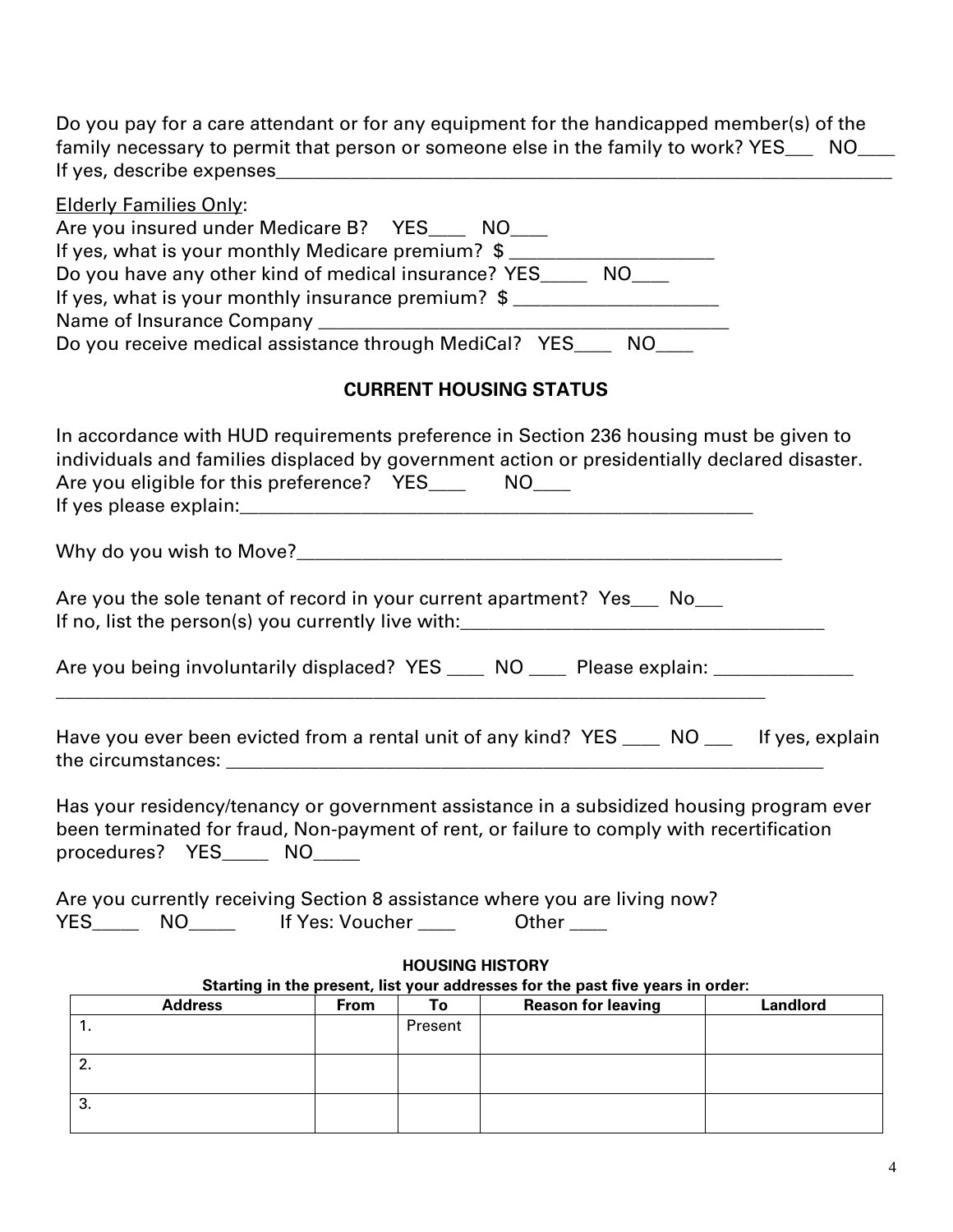Do you pay for a care attendant or for any equipment for the handicapped member(s) of the family necessary to permit that person or someone else in the family to work? YES\_\_\_ NO\_\_\_ If yes, describe expenses\_\_\_\_\_\_\_\_\_\_\_\_\_\_\_\_\_\_\_\_\_\_\_\_\_\_\_\_\_\_\_\_\_\_\_\_\_\_\_\_\_\_\_\_\_\_\_\_\_\_\_\_\_\_\_\_\_\_\_\_\_\_\_\_\_\_

| <b>Elderly Families Only:</b><br>Are you insured under Medicare B? YES____ NO___                                                                                                                                                                 |  |  |  |  |  |  |
|--------------------------------------------------------------------------------------------------------------------------------------------------------------------------------------------------------------------------------------------------|--|--|--|--|--|--|
| If yes, what is your monthly Medicare premium? \$<br>Do you have any other kind of medical insurance? YES______ NO____                                                                                                                           |  |  |  |  |  |  |
| If yes, what is your monthly insurance premium? \$                                                                                                                                                                                               |  |  |  |  |  |  |
|                                                                                                                                                                                                                                                  |  |  |  |  |  |  |
| Do you receive medical assistance through MediCal? YES____ NO___                                                                                                                                                                                 |  |  |  |  |  |  |
| <b>CURRENT HOUSING STATUS</b>                                                                                                                                                                                                                    |  |  |  |  |  |  |
| In accordance with HUD requirements preference in Section 236 housing must be given to<br>individuals and families displaced by government action or presidentially declared disaster.<br>Are you eligible for this preference? YES______ NO____ |  |  |  |  |  |  |
|                                                                                                                                                                                                                                                  |  |  |  |  |  |  |
| Are you the sole tenant of record in your current apartment? Yes___ No___                                                                                                                                                                        |  |  |  |  |  |  |
| Are you being involuntarily displaced? YES ____ NO ____ Please explain: _________                                                                                                                                                                |  |  |  |  |  |  |
| Have you ever been evicted from a rental unit of any kind? YES ____ NO ___ If yes, explain                                                                                                                                                       |  |  |  |  |  |  |
|                                                                                                                                                                                                                                                  |  |  |  |  |  |  |
| Has your residency/tenancy or government assistance in a subsidized housing program ever<br>been terminated for fraud, Non-payment of rent, or failure to comply with recertification<br>procedures? YES NO                                      |  |  |  |  |  |  |
| Are you currently receiving Section 8 assistance where you are living now?<br>YES________ NO________ If Yes: Voucher _____<br>Other <sub>____</sub>                                                                                              |  |  |  |  |  |  |
| <b>HOUSING HISTORY</b>                                                                                                                                                                                                                           |  |  |  |  |  |  |
| Starting in the present, list your addresses for the past five years in order:<br><b>Reason for leaving</b><br><b>Landlord</b><br><b>Address</b><br><b>From</b><br>To                                                                            |  |  |  |  |  |  |
| 1.<br>Present                                                                                                                                                                                                                                    |  |  |  |  |  |  |
| 2.                                                                                                                                                                                                                                               |  |  |  |  |  |  |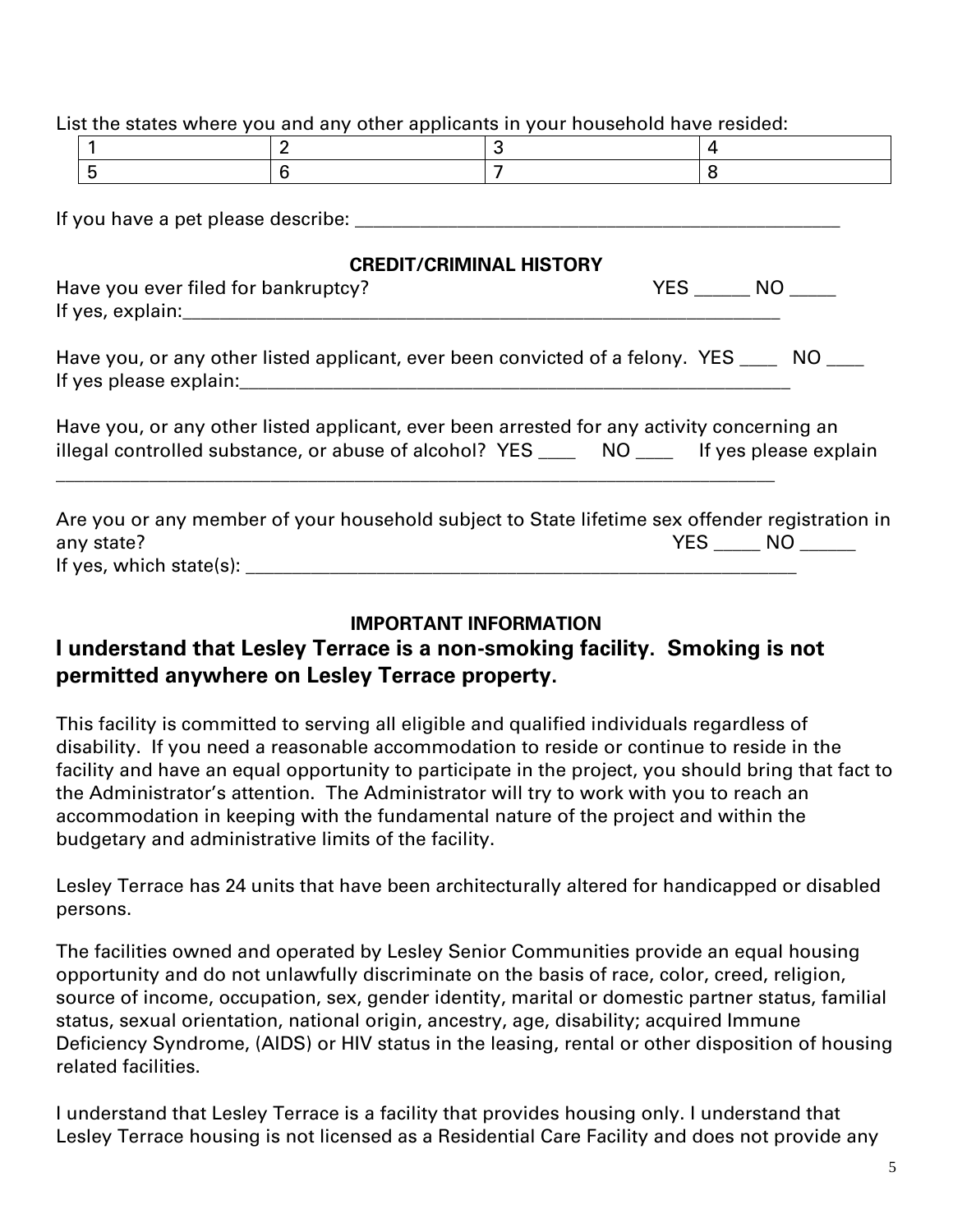List the states where you and any other applicants in your household have resided:

If you have a pet please describe: \_\_\_\_\_\_\_\_\_\_\_\_\_\_\_\_\_\_\_\_\_\_\_\_\_\_\_\_\_\_\_\_\_\_\_\_\_\_\_\_\_\_\_\_\_\_\_\_\_\_\_\_

## **CREDIT/CRIMINAL HISTORY**

| Have you ever filed for bankruptcy? | NΩ |
|-------------------------------------|----|
| If yes, explain:                    |    |

Have you, or any other listed applicant, ever been convicted of a felony. YES \_\_\_\_ NO \_\_\_\_ If yes please explain:\_\_\_\_\_\_\_\_\_\_\_\_\_\_\_\_\_\_\_\_\_\_\_\_\_\_\_\_\_\_\_\_\_\_\_\_\_\_\_\_\_\_\_\_\_\_\_\_\_\_\_\_\_\_\_\_\_\_\_

Have you, or any other listed applicant, ever been arrested for any activity concerning an illegal controlled substance, or abuse of alcohol? YES \_\_\_\_\_ NO \_\_\_\_ If yes please explain

\_\_\_\_\_\_\_\_\_\_\_\_\_\_\_\_\_\_\_\_\_\_\_\_\_\_\_\_\_\_\_\_\_\_\_\_\_\_\_\_\_\_\_\_\_\_\_\_\_\_\_\_\_\_\_\_\_\_\_\_\_\_\_\_\_\_\_\_\_\_\_\_\_\_\_\_\_

| Are you or any member of your household subject to State lifetime sex offender registration in |                   |  |
|------------------------------------------------------------------------------------------------|-------------------|--|
| any state?                                                                                     | <b>YES</b><br>NO. |  |
| If yes, which state(s):                                                                        |                   |  |

# **IMPORTANT INFORMATION**

# **I understand that Lesley Terrace is a non-smoking facility. Smoking is not permitted anywhere on Lesley Terrace property.**

This facility is committed to serving all eligible and qualified individuals regardless of disability. If you need a reasonable accommodation to reside or continue to reside in the facility and have an equal opportunity to participate in the project, you should bring that fact to the Administrator's attention. The Administrator will try to work with you to reach an accommodation in keeping with the fundamental nature of the project and within the budgetary and administrative limits of the facility.

Lesley Terrace has 24 units that have been architecturally altered for handicapped or disabled persons.

The facilities owned and operated by Lesley Senior Communities provide an equal housing opportunity and do not unlawfully discriminate on the basis of race, color, creed, religion, source of income, occupation, sex, gender identity, marital or domestic partner status, familial status, sexual orientation, national origin, ancestry, age, disability; acquired Immune Deficiency Syndrome, (AIDS) or HIV status in the leasing, rental or other disposition of housing related facilities.

I understand that Lesley Terrace is a facility that provides housing only. I understand that Lesley Terrace housing is not licensed as a Residential Care Facility and does not provide any